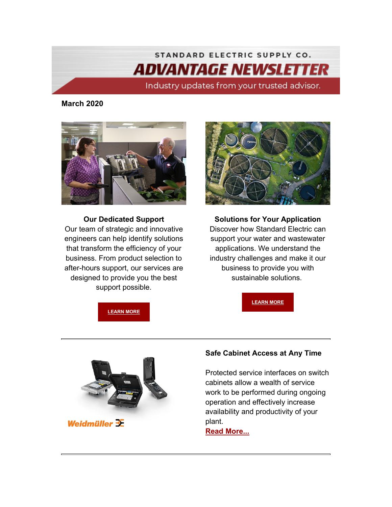# STANDARD ELECTRIC SUPPLY CO. *ADVANTAGE NEWSLETTER*

Industry updates from your trusted advisor.

**March 2020**



**Our Dedicated Support** Our team of strategic and innovative engineers can help identify solutions that transform the efficiency of your business. From product selection to after-hours support, our services are designed to provide you the best support possible.



**Solutions for Your Application** Discover how Standard Electric can support your water and wastewater applications. We understand the industry challenges and make it our business to provide you with sustainable solutions.

**[LEARN MORE](https://info.standardelectricsupply.com/e2t/c/*W87pdsv2YgM26W9dp5CL5Xq45W0/*W2j3Dg-18tPkvVK-W247Q-LxZ0/5/f18dQhb0S4JY2jTrmZW12gSHk4MzHgXW34gbYB1M-BJmW3rh4kB4TKcPHN497l1HDL7VlVY6LKc8tv1byW81hwRL7TWDX0W3XHVpX3dWstpW6j0fdT1fVYgpW8H-bZ76FvlkgW7dstY19jFdGHW4Wj9_p5PTX-ZW97-wGB7VRbT3W1tchKZ64Ky4yW2-nyVz5KM1SDW5jX1SP8gnDXyW2HytVR1MP58KVXMJ-n8QZhWPW1NRPHx7KG0C6W5w3Yc773HlRjW5hql4M7RK_LQVlqjNV8LwKNzW5_Z3p28jbRLxW7PLf6d8fXSgXW3XcZrm4R2vfdW8TXgQj5s7b1yW8c-4ym82xSJHW73VkZr3B9Zx4W93b7fD2SmM9FW2zZr1j3XtyhQW8qMhWt20XB2pW6PD3jk5Hm9-GW7grNN34_SBbmW52-PCJ3Q6DHkN3-4ct1Y7ZFJW37q0YP58zR6wW1XkgnJ69lZMCW3HMR9v4wcW2ZW5v1prh44jY2_W1syfbv5vhHBwW5tmVYB25TF1MW6K1HVK3nsHpFW1hgrqM55Y-7dW1RhvbG5SzNc2W7s7hKW5YMMmRW4Dg-xT7jBqfyW9jn6b64v7l5wW4BVMSs5dwszmW9hq2Kd49XlhCW8M_zs65Js8DrW3XLtTq5Hb4F_102)**





Weidmüller 3E

## **Safe Cabinet Access at Any Time**

Protected service interfaces on switch cabinets allow a wealth of service work to be performed during ongoing operation and effectively increase availability and productivity of your plant.

**[Read More...](https://info.standardelectricsupply.com/e2t/c/*W87pdsv2YgM26W9dp5CL5Xq45W0/*W1BJQvK8_-KThVRJWYL6chfYM0/5/f18dQhb0SfHF9cwkgDW3ykx7f2P58x7W1N1Pq63SyQhhW3MQTMt1wclHvW7TB5J57TyrKkW7t4PKW2KB7XVW2Rhhgl2PjM7ZW1vtm-s2NB2NVW2XtdLt2JDgWkW1LlW9K7lYVD7W2HnHTY2Rf-m0M4dHX5HBNwpW8_dDry4bJ02hW4b_rKw7MbC2DW33kskp2K8glVW36Q7T431mwV5W30n7qC5GvtQ-W548GrJ5lKvt_N5420y5JVPYnW3CPQ_B5D8zFFVhQ3j96GFMdNVYSX-57m_B1RW5c8d-S3785f3W36M98Y8q3yPqW4rHtWd32SkxzW4cPR8213TB5MW5Z0KBs7xdrqSW7qgmPQ7pZbHvW2LB7_M2tR2ZtW5_dGM84Byl20Vvn0zT82906qW7Mbkgb5YcyFbW2NmK7Z5nYp_PW1yZhlc1zMpHXW8Xcttc1D4hH9W2LFbjv3r6lfSVrlbCc4PYG7sW7lbVQr6w-c_qW8Ph58-5b4786N2HCpmr3_L9xW5NNFWC82GV2LVj8tbN4c-1VgW3f08w06qHpSHW7tgh0d3ZBr3rW9jH6PR33wz_JN8gY1JYLG01PMrTzpY1klByf4BLpqj03)**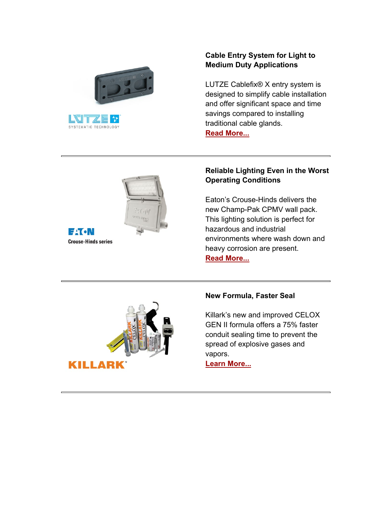



### **Cable Entry System for Light to Medium Duty Applications**

LUTZE Cablefix® X entry system is designed to simplify cable installation and offer significant space and time savings compared to installing traditional cable glands. **[Read More...](https://info.standardelectricsupply.com/e2t/c/*W87pdsv2YgM26W9dp5CL5Xq45W0/*W87gjHj7X-s6HW21dL3Z5vS03n0/5/f18dQhb0S65P2jTK1FW12gHXh2Ym7wgN7cdnqXG91VpN7PBTxJRLz6wW2wy1Rf4vFlWpW8q8-XM7ySRzgW4hMJvT285JvxN85CKDZC3YBrW4fNrq96drN2VW7jpC6x7x3-zbW8GyK4m1k126lVxY_mx2pX2kBW1c6-3p8Cj7x1W6MxNLH5VK53vVF-XvQ1b_FZ7W8gzh202NZy_CW1rv2yg4NzY6RW41B5d85_cj-VW5xYTd-7KkBFTW1W0hZc3LgGvMW53qc7P474bFxW5hdCDz6LqbRlW2B9wWd6w2XVdVnV-3h8QRcbzW4xsqH94M3cS0Vgmb243JKpL-W6561sD8V3tl4W8Kqq373HMJQ1VzWmDx7ysQ3dW11k7SQ5GG9G1W6NbJDJ3kYFq9W3pQgxZ7yFYS8W7ZdGb16Ft56CN4Pl2XVPckR-W8kxjYJ1tC9chW3kdb358Z0NxbW4dgkfH9100FYW5Dnw2m4fPD_RVdsXVY4dt6f4W6jckmL1_vQQTVgVFVt3nYkDwW3yYjJr5r0TMKW9k04wH8pB-kJW8WNPXW8zPYQSW7VDMfp8kLWgBW6TCjyl1S_P_rW2nbC_529c4vD111)**





#### **Reliable Lighting Even in the Worst Operating Conditions**

Eaton's Crouse-Hinds delivers the new Champ-Pak CPMV wall pack. This lighting solution is perfect for hazardous and industrial environments where wash down and heavy corrosion are present. **[Read More...](https://info.standardelectricsupply.com/e2t/c/*W87pdsv2YgM26W9dp5CL5Xq45W0/*W67RfX82bl9C7W4xMbnC3vCV6s0/5/f18dQhb0S7wF2dXD1gV11nRy2vhW-9W6LmrTy4RT8JTW4GCXcJ54XCc_W4_5lgR3sQWp4W6TxM9X8RlKr5W3bsBC-133VSTW8cMv1l1t-KPLW23Y5KD3QmfF4W15rxsB1727KZW85HC4V5fnm2pN2X941Fy87DTW85Pwxp2yPSXQW305XG34cG8TnW4NDpmB1kj8n1W1VGd0F5YDWPsW60FVL65zhfZ9W1wknKW10lxGwW4QcT0C5hdTdWW6QrprG3Wq5JgW4BQhsp3NtfZQW3pZPyn6g43J8W633_fz4DQs-CW4Tv7Q06rFNz6W962s954D7qXtW8Pf9DV61qfX2W5hFNMb6DnNSnW1DHkyn1sf60KW2N3wNt34TCcGW1lqpVt7b2Cw2W5BhwTn1yZQTZW98qcPk7F5pc_N6t0t4DPJsSFW1LWsMQ2cWJ-4W6SFb3R2YvY6dW19cT-B5VmWSWW29d-R_1Q4hGfW5r7z3Z5N1j5ZV_YvdS3psmDTW4zL1_w5LcfL7W920g3C4YBTRLW7cHWkK93kp2dW5LwMPn9fcSfZW3q9p-74ZtHXJW7qHXCS4pHfdWW8Tr1zc6-jhKmW81TtGv1_TxprW6nh54v2DhhSc111)**



#### **New Formula, Faster Seal**

Killark's new and improved CELOX GEN II formula offers a 75% faster conduit sealing time to prevent the spread of explosive gases and vapors.

**[Learn More...](https://info.standardelectricsupply.com/e2t/c/*W87pdsv2YgM26W9dp5CL5Xq45W0/*W4KBzdQ1kFHVSW7VsSmJ3ZrNPK0/5/f18dQhb0S1Wd1Q14SwV128D25F8bp-W2wLkXY10pfyJW5PzD5v3QCJ8CW1mwV9q4rKx-lW4CzK7t8D7fv6W3XwsVm5-PrCxW3xNZtF2B9nDbW7cw02r69jJ4FW8N7gWg9bcbjNW4qLflD6ZCPMwW1z2lLg2Ry42qN3brlyVjPJmPW5gRW0m1Pdl1xV7-hWN3SzQpFW63Qv397tPhh1W5qxDcs1XDDK3W6k2x-34TdJCbW3GCGTx4VYDbKW7xWWHH2qrDxRW48ZytC3BHWlQW8gLNCl23ZWhgW2Z-d905hLyp0VCm6-b2gLkgvW2sXxPK6-dGNzW21lBJ93HLgytW7GvbyL7yj05-N1VQQ7r5LzjzW2Qd9K12RNQDqW6lvzb12Gg0PgW1twV0Y8-Q7VtW5V6B6L3y4SpsW8Cn2kQ1yCz5BW3mFG6S85zbtkN2pd8ydl7ysmVfqLYQ7ZSWrPW8yp-rc7QqfBWW8NlgRt7Xvb4qW91b02-1h5Z2bW55Rd_H8z1Y06W7g_vYQ6Rxtz6W1vHT4F8H81GwW5kZgqn6ZP4m0W8Wqz7_5WcdbLW2XKH_18JsNCPW5Mw0dT1myBYtW1njTdP195-Y2f2KYPNF03)**